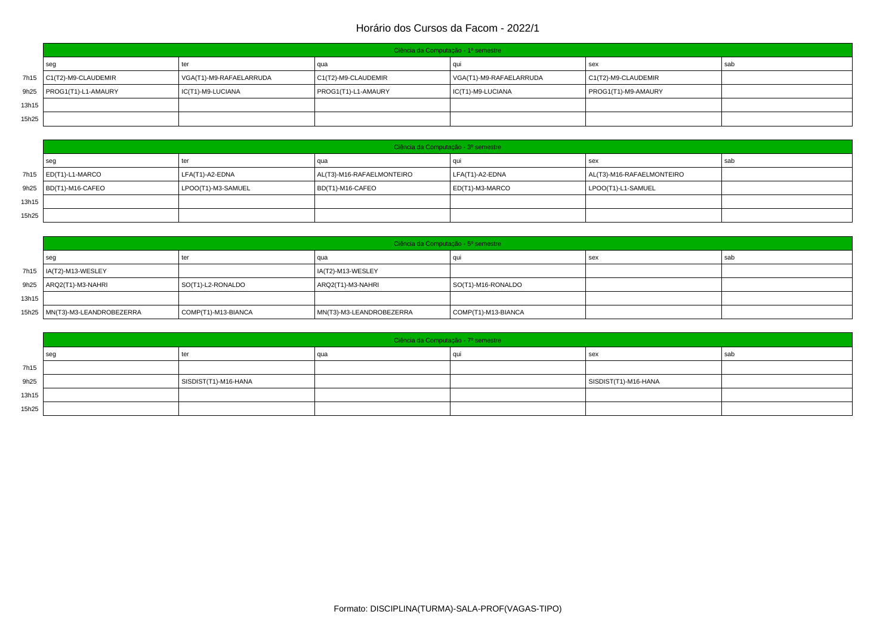|       | Ciência da Computação - 1º semestre |                         |                     |                         |                     |     |  |  |
|-------|-------------------------------------|-------------------------|---------------------|-------------------------|---------------------|-----|--|--|
|       | seg                                 | ter                     | l qua               | aur                     | sex                 | sab |  |  |
|       | 7h15   C1(T2)-M9-CLAUDEMIR          | VGA(T1)-M9-RAFAELARRUDA | C1(T2)-M9-CLAUDEMIR | VGA(T1)-M9-RAFAELARRUDA | C1(T2)-M9-CLAUDEMIR |     |  |  |
|       | 9h25   PROG1(T1)-L1-AMAURY          | IC(T1)-M9-LUCIANA       | PROG1(T1)-L1-AMAURY | IC(T1)-M9-LUCIANA       | PROG1(T1)-M9-AMAURY |     |  |  |
| 13h15 |                                     |                         |                     |                         |                     |     |  |  |
| 15h25 |                                     |                         |                     |                         |                     |     |  |  |

|       | Ciência da Computação - 3º semestre |                    |                           |                     |                           |     |  |  |
|-------|-------------------------------------|--------------------|---------------------------|---------------------|---------------------------|-----|--|--|
|       | seg                                 | ter                | qua                       |                     | l sex                     | sab |  |  |
|       | 7h15   ED(T1)-L1-MARCO              | LFA(T1)-A2-EDNA    | AL(T3)-M16-RAFAELMONTEIRO | $LEA(T1)-A2-EDNA$   | AL(T3)-M16-RAFAELMONTEIRO |     |  |  |
|       | 9h25   BD(T1)-M16-CAFEO             | LPOO(T1)-M3-SAMUEL | BD(T1)-M16-CAFEO          | $ ED(T1)$ -M3-MARCO | LPOO(T1)-L1-SAMUEL        |     |  |  |
| 13h15 |                                     |                    |                           |                     |                           |     |  |  |
| 15h25 |                                     |                    |                           |                     |                           |     |  |  |

|       | Ciência da Computação - 5º semestre |                     |                          |                     |     |     |  |
|-------|-------------------------------------|---------------------|--------------------------|---------------------|-----|-----|--|
|       | seg                                 | ter                 | qua                      |                     | sex | sab |  |
|       | 7h15   IA(T2)-M13-WESLEY            |                     | IA(T2)-M13-WESLEY        |                     |     |     |  |
|       | 9h25   ARQ2(T1)-M3-NAHRI            | SO(T1)-L2-RONALDO   | ARQ2(T1)-M3-NAHRI        | SO(T1)-M16-RONALDO  |     |     |  |
| 13h15 |                                     |                     |                          |                     |     |     |  |
|       | 15h25   MN(T3)-M3-LEANDROBEZERRA    | COMP(T1)-M13-BIANCA | MN(T3)-M3-LEANDROBEZERRA | COMP(T1)-M13-BIANCA |     |     |  |

|       | Ciência da Computação - 7º semestre |                      |       |    |                      |     |  |
|-------|-------------------------------------|----------------------|-------|----|----------------------|-----|--|
|       | seg                                 | ter                  | l qua | au | l sex                | sab |  |
| 7h15  |                                     |                      |       |    |                      |     |  |
| 9h25  |                                     | SISDIST(T1)-M16-HANA |       |    | SISDIST(T1)-M16-HANA |     |  |
| 13h15 |                                     |                      |       |    |                      |     |  |
| 15h25 |                                     |                      |       |    |                      |     |  |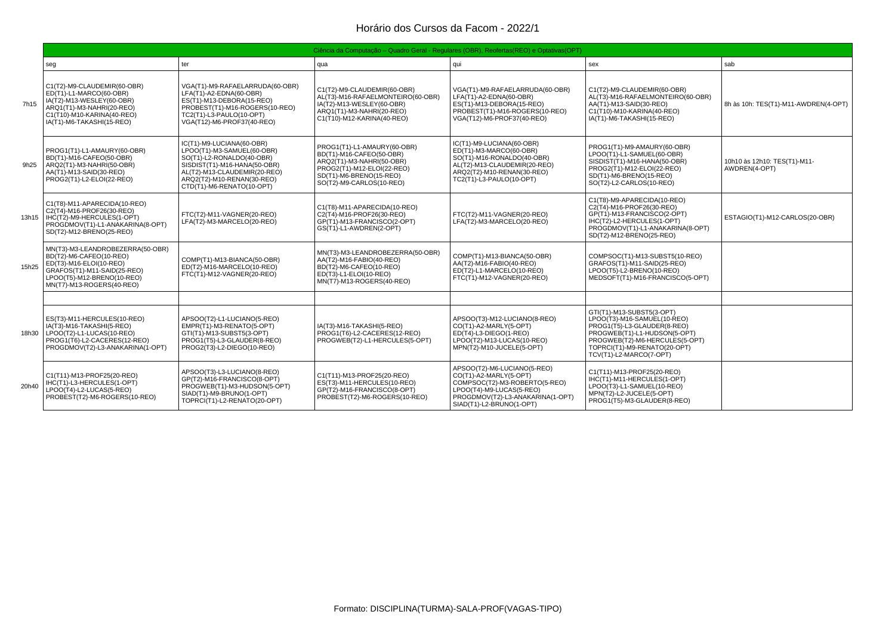|       |                                                                                                                                                                                  |                                                                                                                                                                                                                 | Ciência da Computação – Quadro Geral - Regulares (OBR), Reofertas(REO) e Optativas(OPT)                                                                                   |                                                                                                                                                                                    |                                                                                                                                                                                                                      |                                               |
|-------|----------------------------------------------------------------------------------------------------------------------------------------------------------------------------------|-----------------------------------------------------------------------------------------------------------------------------------------------------------------------------------------------------------------|---------------------------------------------------------------------------------------------------------------------------------------------------------------------------|------------------------------------------------------------------------------------------------------------------------------------------------------------------------------------|----------------------------------------------------------------------------------------------------------------------------------------------------------------------------------------------------------------------|-----------------------------------------------|
|       | seg                                                                                                                                                                              | ter                                                                                                                                                                                                             | qua                                                                                                                                                                       | qui                                                                                                                                                                                | sex                                                                                                                                                                                                                  | sab                                           |
| 7h15  | C1(T2)-M9-CLAUDEMIR(60-OBR)<br>ED(T1)-L1-MARCO(60-OBR)<br>IA(T2)-M13-WESLEY(60-OBR)<br>ARO1(T1)-M3-NAHRI(20-REO)<br>C1(T10)-M10-KARINA(40-REO)<br>IA(T1)-M6-TAKASHI(15-REO)      | VGA(T1)-M9-RAFAELARRUDA(60-OBR)<br>LFA(T1)-A2-EDNA(60-OBR)<br>ES(T1)-M13-DEBORA(15-REO)<br>PROBEST(T1)-M16-ROGERS(10-REO)<br>TC2(T1)-L3-PAULO(10-OPT)<br>VGA(T12)-M6-PROF37(40-REO)                             | C1(T2)-M9-CLAUDEMIR(60-OBR)<br>AL(T3)-M16-RAFAELMONTEIRO(60-OBR)<br>IA(T2)-M13-WESLEY(60-OBR)<br>ARO1(T1)-M3-NAHRI(20-REO)<br>C1(T10)-M12-KARINA(40-REO)                  | VGA(T1)-M9-RAFAELARRUDA(60-OBR)<br>LFA(T1)-A2-EDNA(60-OBR)<br>ES(T1)-M13-DEBORA(15-REO)<br>PROBEST(T1)-M16-ROGERS(10-REO)<br>VGA(T12)-M6-PROF37(40-REO)                            | C1(T2)-M9-CLAUDEMIR(60-OBR)<br>AL(T3)-M16-RAFAELMONTEIRO(60-OBR)<br>AA(T1)-M13-SAID(30-REO)<br>C1(T10)-M10-KARINA(40-REO)<br>IA(T1)-M6-TAKASHI(15-REO)                                                               | 8h às 10h: TES(T1)-M11-AWDREN(4-OPT)          |
| 9h25  | PROG1(T1)-L1-AMAURY(60-OBR)<br>BD(T1)-M16-CAFEO(50-OBR)<br>ARQ2(T1)-M3-NAHRI(50-OBR)<br>AA(T1)-M13-SAID(30-REO)<br>PROG2(T1)-L2-ELOI(22-REO)                                     | IC(T1)-M9-LUCIANA(60-OBR)<br>LPOO(T1)-M3-SAMUEL(60-OBR)<br>SO(T1)-L2-RONALDO(40-OBR)<br>SISDIST(T1)-M16-HANA(50-OBR)<br>AL(T2)-M13-CLAUDEMIR(20-REO)<br>ARQ2(T2)-M10-RENAN(30-REO)<br>CTD(T1)-M6-RENATO(10-OPT) | PROG1(T1)-L1-AMAURY(60-OBR)<br>BD(T1)-M16-CAFEO(50-OBR)<br>ARQ2(T1)-M3-NAHRI(50-OBR)<br>PROG2(T1)-M12-ELOI(22-REO)<br>SD(T1)-M6-BRENO(15-REO)<br>SO(T2)-M9-CARLOS(10-REO) | IC(T1)-M9-LUCIANA(60-OBR)<br>ED(T1)-M3-MARCO(60-OBR)<br>SO(T1)-M16-RONALDO(40-OBR)<br>AL(T2)-M13-CLAUDEMIR(20-REO)<br>ARQ2(T2)-M10-RENAN(30-REO)<br>TC2(T1)-L3-PAULO(10-OPT)       | PROG1(T1)-M9-AMAURY(60-OBR)<br>LPOO(T1)-L1-SAMUEL(60-OBR)<br>SISDIST(T1)-M16-HANA(50-OBR)<br>PROG2(T1)-M12-ELOI(22-REO)<br>SD(T1)-M6-BRENO(15-REO)<br>SO(T2)-L2-CARLOS(10-REO)                                       | 10h10 às 12h10: TES(T1)-M11-<br>AWDREN(4-OPT) |
|       | C1(T8)-M11-APARECIDA(10-REO)<br>C2(T4)-M16-PROF26(30-REO)<br>13h15   IHC(T2)-M9-HERCULES(1-OPT)<br>PROGDMOV(T1)-L1-ANAKARINA(8-OPT)<br>SD(T2)-M12-BRENO(25-REO)                  | FTC(T2)-M11-VAGNER(20-REO)<br>LFA(T2)-M3-MARCELO(20-REO)                                                                                                                                                        | C1(T8)-M11-APARECIDA(10-REO)<br>C2(T4)-M16-PROF26(30-REO)<br>GP(T1)-M13-FRANCISCO(2-OPT)<br>GS(T1)-L1-AWDREN(2-OPT)                                                       | FTC(T2)-M11-VAGNER(20-REO)<br>LFA(T2)-M3-MARCELO(20-REO)                                                                                                                           | C1(T8)-M9-APARECIDA(10-REO)<br>C2(T4)-M16-PROF26(30-REO)<br>GP(T1)-M13-FRANCISCO(2-OPT)<br>IHC(T2)-L2-HERCULES(1-OPT)<br>PROGDMOV(T1)-L1-ANAKARINA(8-OPT)<br>SD(T2)-M12-BRENO(25-REO)                                | ESTAGIO(T1)-M12-CARLOS(20-OBR)                |
| 15h25 | MN(T3)-M3-LEANDROBEZERRA(50-OBR)<br>BD(T2)-M6-CAFEO(10-REO)<br>ED(T3)-M16-ELOI(10-REO)<br>GRAFOS(T1)-M11-SAID(25-REO)<br>LPOO(T5)-M12-BRENO(10-REO)<br>MN(T7)-M13-ROGERS(40-REO) | COMP(T1)-M13-BIANCA(50-OBR)<br>ED(T2)-M16-MARCELO(10-REO)<br>FTC(T1)-M12-VAGNER(20-REO)                                                                                                                         | MN(T3)-M3-LEANDROBEZERRA(50-OBR)<br>AA(T2)-M16-FABIO(40-REO)<br>BD(T2)-M6-CAFEO(10-REO)<br>ED(T3)-L1-ELOI(10-REO)<br>MN(T7)-M13-ROGERS(40-REO)                            | COMP(T1)-M13-BIANCA(50-OBR)<br>AA(T2)-M16-FABIO(40-REO)<br>ED(T2)-L1-MARCELO(10-REO)<br>FTC(T1)-M12-VAGNER(20-REO)                                                                 | COMPSOC(T1)-M13-SUBST5(10-REO)<br>GRAFOS(T1)-M11-SAID(25-REO)<br>LPOO(T5)-L2-BRENO(10-REO)<br>MEDSOFT(T1)-M16-FRANCISCO(5-OPT)                                                                                       |                                               |
|       |                                                                                                                                                                                  |                                                                                                                                                                                                                 |                                                                                                                                                                           |                                                                                                                                                                                    |                                                                                                                                                                                                                      |                                               |
|       | ES(T3)-M11-HERCULES(10-REO)<br>IA(T3)-M16-TAKASHI(5-REO)<br>18h30   LPOO(T2)-L1-LUCAS(10-REO)<br>PROG1(T6)-L2-CACERES(12-REO)<br>PROGDMOV(T2)-L3-ANAKARINA(1-OPT)                | APSOO(T2)-L1-LUCIANO(5-REO)<br>EMPR(T1)-M3-RENATO(5-OPT)<br>GTI(T1)-M13-SUBST5(3-OPT)<br>PROG1(T5)-L3-GLAUDER(8-REO)<br>PROG2(T3)-L2-DIEGO(10-REO)                                                              | IA(T3)-M16-TAKASHI(5-REO)<br>PROG1(T6)-L2-CACERES(12-REO)<br>PROGWEB(T2)-L1-HERCULES(5-OPT)                                                                               | APSOO(T3)-M12-LUCIANO(8-REO)<br>CO(T1)-A2-MARLY(5-OPT)<br>ED(T4)-L3-DIEGO(1-REO)<br>LPOO(T2)-M13-LUCAS(10-REO)<br>MPN(T2)-M10-JUCELE(5-OPT)                                        | GTI(T1)-M13-SUBST5(3-OPT)<br>LPOO(T3)-M16-SAMUEL(10-REO)<br>PROG1(T5)-L3-GLAUDER(8-REO)<br>PROGWEB(T1)-L1-HUDSON(5-OPT)<br>PROGWEB(T2)-M6-HERCULES(5-OPT)<br>TOPRCI(T1)-M9-RENATO(20-OPT)<br>TCV(T1)-L2-MARCO(7-OPT) |                                               |
| 20h40 | C1(T11)-M13-PROF25(20-REO)<br>IHC(T1)-L3-HERCULES(1-OPT)<br>LPOO(T4)-L2-LUCAS(5-REO)<br>PROBEST(T2)-M6-ROGERS(10-REO)                                                            | APSOO(T3)-L3-LUCIANO(8-REO)<br>GP(T2)-M16-FRANCISCO(8-OPT)<br>PROGWEB(T1)-M3-HUDSON(5-OPT)<br>SIAD(T1)-M9-BRUNO(1-OPT)<br>TOPRCI(T1)-L2-RENATO(20-OPT)                                                          | C1(T11)-M13-PROF25(20-REO)<br>ES(T3)-M11-HERCULES(10-REO)<br>GP(T2)-M16-FRANCISCO(8-OPT)<br>PROBEST(T2)-M6-ROGERS(10-REO)                                                 | APSOO(T2)-M6-LUCIANO(5-REO)<br>CO(T1)-A2-MARLY(5-OPT)<br>COMPSOC(T2)-M3-ROBERTO(5-REO)<br>LPOO(T4)-M9-LUCAS(5-REO)<br>PROGDMOV(T2)-L3-ANAKARINA(1-OPT)<br>SIAD(T1)-L2-BRUNO(1-OPT) | C1(T11)-M13-PROF25(20-REO)<br>IHC(T1)-M11-HERCULES(1-OPT)<br>LPOO(T3)-L1-SAMUEL(10-REO)<br>MPN(T2)-L2-JUCELE(5-OPT)<br>PROG1(T5)-M3-GLAUDER(8-REO)                                                                   |                                               |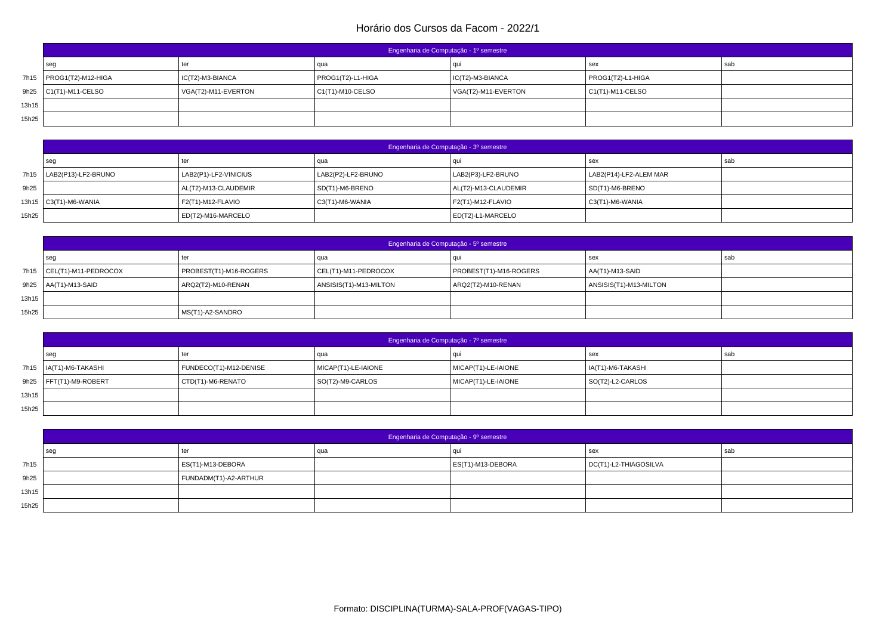|       | Engenharia de Computação - 1º semestre |                     |                    |                     |                          |     |  |  |
|-------|----------------------------------------|---------------------|--------------------|---------------------|--------------------------|-----|--|--|
|       | seg                                    | ter                 | qua                | aur                 | sex                      | sab |  |  |
|       | 7h15   PROG1(T2)-M12-HIGA              | IC(T2)-M3-BIANCA    | PROG1(T2)-L1-HIGA  | IC(T2)-M3-BIANCA    | PROG1(T2)-L1-HIGA        |     |  |  |
|       | 9h25 $\vert$ C1(T1)-M11-CELSO          | VGA(T2)-M11-EVERTON | $C1(T1)-M10-CELSO$ | VGA(T2)-M11-EVERTON | $\vert$ C1(T1)-M11-CELSO |     |  |  |
| 13h15 |                                        |                     |                    |                     |                          |     |  |  |
| 15h25 |                                        |                     |                    |                     |                          |     |  |  |

|       | Engenharia de Computação - 3º semestre |                       |                    |                      |                        |     |  |  |
|-------|----------------------------------------|-----------------------|--------------------|----------------------|------------------------|-----|--|--|
|       | seg                                    | ter                   | l qua              |                      | sex                    | sab |  |  |
|       | 7h15   LAB2(P13)-LF2-BRUNO             | LAB2(P1)-LF2-VINICIUS | LAB2(P2)-LF2-BRUNO | LAB2(P3)-LF2-BRUNO   | LAB2(P14)-LF2-ALEM MAR |     |  |  |
| 9h25  |                                        | AL(T2)-M13-CLAUDEMIR  | SD(T1)-M6-BRENO    | AL(T2)-M13-CLAUDEMIR | SD(T1)-M6-BRENO        |     |  |  |
|       | 13h15   C3(T1)-M6-WANIA                | F2(T1)-M12-FLAVIO     | C3(T1)-M6-WANIA    | F2(T1)-M12-FLAVIO    | C3(T1)-M6-WANIA        |     |  |  |
| 15h25 |                                        | ED(T2)-M16-MARCELO    |                    | ED(T2)-L1-MARCELO    |                        |     |  |  |

|       | Engenharia de Computação - 5º semestre |                        |                        |                        |                        |     |  |  |
|-------|----------------------------------------|------------------------|------------------------|------------------------|------------------------|-----|--|--|
|       | seg                                    | ter                    | qua                    |                        | l sex                  | sab |  |  |
|       | 7h15 CEL(T1)-M11-PEDROCOX              | PROBEST(T1)-M16-ROGERS | CEL(T1)-M11-PEDROCOX   | PROBEST(T1)-M16-ROGERS | $AAT1$ -M13-SAID       |     |  |  |
|       | 9h25   AA(T1)-M13-SAID                 | ARQ2(T2)-M10-RENAN     | ANSISIS(T1)-M13-MILTON | ARQ2(T2)-M10-RENAN     | ANSISIS(T1)-M13-MILTON |     |  |  |
| 13h15 |                                        |                        |                        |                        |                        |     |  |  |
| 15h25 |                                        | MS(T1)-A2-SANDRO       |                        |                        |                        |     |  |  |

|       | Engenharia de Computação - 7º semestre |                        |                     |                     |                   |     |  |  |
|-------|----------------------------------------|------------------------|---------------------|---------------------|-------------------|-----|--|--|
|       | seq                                    | ter                    | qua                 |                     | sex               | sab |  |  |
|       | 7h15   IA(T1)-M6-TAKASHI               | FUNDECO(T1)-M12-DENISE | MICAP(T1)-LE-IAIONE | MICAP(T1)-LE-IAIONE | IA(T1)-M6-TAKASHI |     |  |  |
|       | $9h25$ FFT(T1)-M9-ROBERT               | CTD(T1)-M6-RENATO      | SO(T2)-M9-CARLOS    | MICAP(T1)-LE-IAIONE | SO(T2)-L2-CARLOS  |     |  |  |
| 13h15 |                                        |                        |                     |                     |                   |     |  |  |
| 15h25 |                                        |                        |                     |                     |                   |     |  |  |

|       | Engenharia de Computação - 9º semestre |                       |     |                           |                       |     |  |
|-------|----------------------------------------|-----------------------|-----|---------------------------|-----------------------|-----|--|
|       | sec                                    | ter                   | qua | au                        | sex                   | sab |  |
| 7h15  |                                        | ES(T1)-M13-DEBORA     |     | $\vert$ ES(T1)-M13-DEBORA | DC(T1)-L2-THIAGOSILVA |     |  |
| 9h25  |                                        | FUNDADM(T1)-A2-ARTHUR |     |                           |                       |     |  |
| 13h15 |                                        |                       |     |                           |                       |     |  |
| 15h25 |                                        |                       |     |                           |                       |     |  |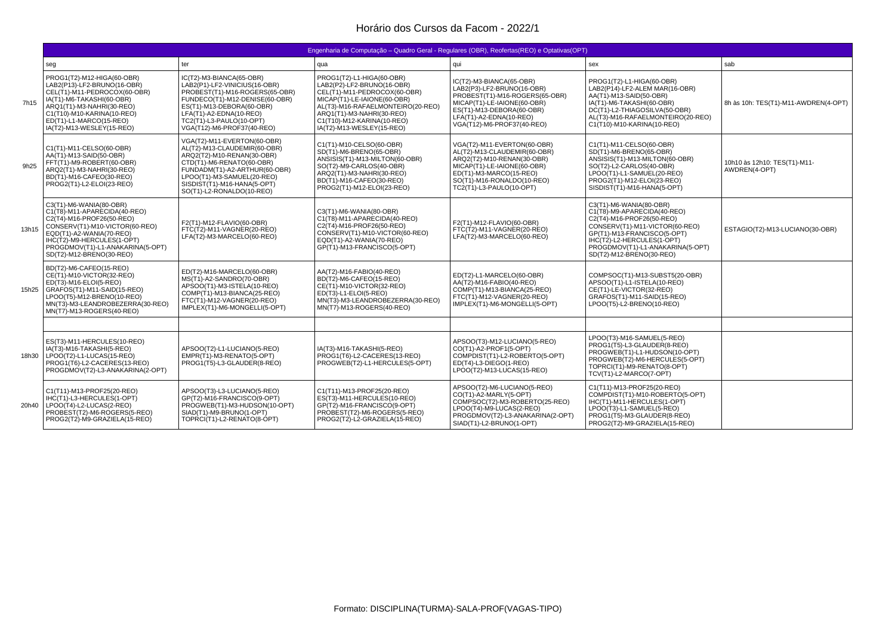|       | Engenharia de Computação – Quadro Geral - Regulares (OBR), Reofertas (REO) e Optativas (OPT)                                                                                                                                                     |                                                                                                                                                                                                                                                   |                                                                                                                                                                                                                                                     |                                                                                                                                                                                                               |                                                                                                                                                                                                                                                    |                                               |  |
|-------|--------------------------------------------------------------------------------------------------------------------------------------------------------------------------------------------------------------------------------------------------|---------------------------------------------------------------------------------------------------------------------------------------------------------------------------------------------------------------------------------------------------|-----------------------------------------------------------------------------------------------------------------------------------------------------------------------------------------------------------------------------------------------------|---------------------------------------------------------------------------------------------------------------------------------------------------------------------------------------------------------------|----------------------------------------------------------------------------------------------------------------------------------------------------------------------------------------------------------------------------------------------------|-----------------------------------------------|--|
|       | seg                                                                                                                                                                                                                                              | ter                                                                                                                                                                                                                                               | qua                                                                                                                                                                                                                                                 | qui                                                                                                                                                                                                           | sex                                                                                                                                                                                                                                                | sab                                           |  |
| 7h15  | PROG1(T2)-M12-HIGA(60-OBR)<br>LAB2(P13)-LF2-BRUNO(16-OBR)<br>CEL(T1)-M11-PEDROCOX(60-OBR)<br>IA(T1)-M6-TAKASHI(60-OBR)<br>ARQ1(T1)-M3-NAHRI(30-REO)<br>C1(T10)-M10-KARINA(10-REO)<br>ED(T1)-L1-MARCO(15-REO)<br>IA(T2)-M13-WESLEY(15-REO)        | IC(T2)-M3-BIANCA(65-OBR)<br>LAB2(P1)-LF2-VINICIUS(16-OBR)<br>PROBEST(T1)-M16-ROGERS(65-OBR)<br>FUNDECO(T1)-M12-DENISE(60-OBR)<br>ES(T1)-M13-DEBORA(60-OBR)<br>LFA(T1)-A2-EDNA(10-REO)<br>TC2(T1)-L3-PAULO(10-OPT)<br>VGA(T12)-M6-PROF37(40-REO)   | PROG1(T2)-L1-HIGA(60-OBR)<br>LAB2(P2)-LF2-BRUNO(16-OBR)<br>CEL(T1)-M11-PEDROCOX(60-OBR)<br>MICAP(T1)-LE-IAIONE(60-OBR)<br>AL(T3)-M16-RAFAELMONTEIRO(20-REO)<br>ARO1(T1)-M3-NAHRI(30-REO)<br>C1(T10)-M12-KARINA(10-REO)<br>IA(T2)-M13-WESLEY(15-REO) | IC(T2)-M3-BIANCA(65-OBR)<br>LAB2(P3)-LF2-BRUNO(16-OBR)<br>PROBEST(T1)-M16-ROGERS(65-OBR)<br>MICAP(T1)-LE-IAIONE(60-OBR)<br>ES(T1)-M13-DEBORA(60-OBR)<br>LFA(T1)-A2-EDNA(10-REO)<br>VGA(T12)-M6-PROF37(40-REO) | PROG1(T2)-L1-HIGA(60-OBR)<br>LAB2(P14)-LF2-ALEM MAR(16-OBR)<br>AA(T1)-M13-SAID(50-OBR)<br>IA(T1)-M6-TAKASHI(60-OBR)<br>DC(T1)-L2-THIAGOSILVA(50-OBR)<br>AL(T3)-M16-RAFAELMONTEIRO(20-REO)<br>C1(T10)-M10-KARINA(10-REO)                            | 8h às 10h: TES(T1)-M11-AWDREN(4-OPT)          |  |
| 9h25  | C1(T1)-M11-CELSO(60-OBR)<br>AA(T1)-M13-SAID(50-OBR)<br>FFT(T1)-M9-ROBERT(60-OBR)<br>ARO2(T1)-M3-NAHRI(30-REO)<br>BD(T1)-M16-CAFEO(30-REO)<br>PROG2(T1)-L2-ELOI(23-REO)                                                                           | VGA(T2)-M11-EVERTON(60-OBR)<br>AL(T2)-M13-CLAUDEMIR(60-OBR)<br>ARQ2(T2)-M10-RENAN(30-OBR)<br>CTD(T1)-M6-RENATO(60-OBR)<br>FUNDADM(T1)-A2-ARTHUR(60-OBR)<br>LPOO(T1)-M3-SAMUEL(20-REO)<br>SISDIST(T1)-M16-HANA(5-OPT)<br>SO(T1)-L2-RONALDO(10-REO) | C1(T1)-M10-CELSO(60-OBR)<br>SD(T1)-M6-BRENO(65-OBR)<br>ANSISIS(T1)-M13-MILTON(60-OBR)<br>SO(T2)-M9-CARLOS(40-OBR)<br>ARO2(T1)-M3-NAHRI(30-REO)<br>BD(T1)-M16-CAFEO(30-REO)<br>PROG2(T1)-M12-ELOI(23-REO)                                            | VGA(T2)-M11-EVERTON(60-OBR)<br>AL(T2)-M13-CLAUDEMIR(60-OBR)<br>ARQ2(T2)-M10-RENAN(30-OBR)<br>MICAP(T1)-LE-IAIONE(60-OBR)<br>ED(T1)-M3-MARCO(15-REO)<br>SO(T1)-M16-RONALDO(10-REO)<br>TC2(T1)-L3-PAULO(10-OPT) | C1(T1)-M11-CELSO(60-OBR)<br>SD(T1)-M6-BRENO(65-OBR)<br>ANSISIS(T1)-M13-MILTON(60-OBR)<br>SO(T2)-L2-CARLOS(40-OBR)<br>LPOO(T1)-L1-SAMUEL(20-REO)<br>PROG2(T1)-M12-ELOI(23-REO)<br>SISDIST(T1)-M16-HANA(5-OPT)                                       | 10h10 às 12h10: TES(T1)-M11-<br>AWDREN(4-OPT) |  |
| 13h15 | C3(T1)-M6-WANIA(80-OBR)<br>C1(T8)-M11-APARECIDA(40-REO)<br>C2(T4)-M16-PROF26(50-REO)<br>CONSERV(T1)-M10-VICTOR(60-REO)<br>EOD(T1)-A2-WANIA(70-REO)<br>IHC(T2)-M9-HERCULES(1-OPT)<br>PROGDMOV(T1)-L1-ANAKARINA(5-OPT)<br>SD(T2)-M12-BRENO(30-REO) | F2(T1)-M12-FLAVIO(60-OBR)<br>FTC(T2)-M11-VAGNER(20-REO)<br>LFA(T2)-M3-MARCELO(60-REO)                                                                                                                                                             | C3(T1)-M6-WANIA(80-OBR)<br>C1(T8)-M11-APARECIDA(40-REO)<br>C2(T4)-M16-PROF26(50-REO)<br>CONSERV(T1)-M10-VICTOR(60-REO)<br>EOD(T1)-A2-WANIA(70-REO)<br>GP(T1)-M13-FRANCISCO(5-OPT)                                                                   | F2(T1)-M12-FLAVIO(60-OBR)<br>FTC(T2)-M11-VAGNER(20-REO)<br>LFA(T2)-M3-MARCELO(60-REO)                                                                                                                         | C3(T1)-M6-WANIA(80-OBR)<br>C1(T8)-M9-APARECIDA(40-REO)<br>C2(T4)-M16-PROF26(50-REO)<br>CONSERV(T1)-M11-VICTOR(60-REO)<br>GP(T1)-M13-FRANCISCO(5-OPT)<br>IHC(T2)-L2-HERCULES(1-OPT)<br>PROGDMOV(T1)-L1-ANAKARINA(5-OPT)<br>SD(T2)-M12-BRENO(30-REO) | ESTAGIO(T2)-M13-LUCIANO(30-OBR)               |  |
|       | BD(T2)-M6-CAFEO(15-REO)<br>CE(T1)-M10-VICTOR(32-REO)<br>ED(T3)-M16-ELOI(5-REO)<br>15h25   GRAFOS(T1)-M11-SAID(15-REO)<br>LPOO(T5)-M12-BRENO(10-REO)<br>MN(T3)-M3-LEANDROBEZERRA(30-REO)<br>MN(T7)-M13-ROGERS(40-REO)                             | ED(T2)-M16-MARCELO(60-OBR)<br>MS(T1)-A2-SANDRO(70-OBR)<br>APSOO(T1)-M3-ISTELA(10-REO)<br>COMP(T1)-M13-BIANCA(25-REO)<br>FTC(T1)-M12-VAGNER(20-REO)<br>IMPLEX(T1)-M6-MONGELLI(5-OPT)                                                               | AA(T2)-M16-FABIO(40-REO)<br>BD(T2)-M6-CAFEO(15-REO)<br>CE(T1)-M10-VICTOR(32-REO)<br>ED(T3)-L1-ELOI(5-REO)<br>MN(T3)-M3-LEANDROBEZERRA(30-REO)<br>MN(T7)-M13-ROGERS(40-REO)                                                                          | ED(T2)-L1-MARCELO(60-OBR)<br>AA(T2)-M16-FABIO(40-REO)<br>COMP(T1)-M13-BIANCA(25-REO)<br>FTC(T1)-M12-VAGNER(20-REO)<br>IMPLEX(T1)-M6-MONGELLI(5-OPT)                                                           | COMPSOC(T1)-M13-SUBST5(20-OBR)<br>APSOO(T1)-L1-ISTELA(10-REO)<br>CE(T1)-LE-VICTOR(32-REO)<br>GRAFOS(T1)-M11-SAID(15-REO)<br>LPOO(T5)-L2-BRENO(10-REO)                                                                                              |                                               |  |
|       |                                                                                                                                                                                                                                                  |                                                                                                                                                                                                                                                   |                                                                                                                                                                                                                                                     |                                                                                                                                                                                                               |                                                                                                                                                                                                                                                    |                                               |  |
| 18h30 | ES(T3)-M11-HERCULES(10-REO)<br>IA(T3)-M16-TAKASHI(5-REO)<br>LPOO(T2)-L1-LUCAS(15-REO)<br>PROG1(T6)-L2-CACERES(13-REO)<br>PROGDMOV(T2)-L3-ANAKARINA(2-OPT)                                                                                        | APSOO(T2)-L1-LUCIANO(5-REO)<br>EMPR(T1)-M3-RENATO(5-OPT)<br>PROG1(T5)-L3-GLAUDER(8-REO)                                                                                                                                                           | IA(T3)-M16-TAKASHI(5-REO)<br>PROG1(T6)-L2-CACERES(13-REO)<br>PROGWEB(T2)-L1-HERCULES(5-OPT)                                                                                                                                                         | APSOO(T3)-M12-LUCIANO(5-REO)<br>CO(T1)-A2-PROF1(5-OPT)<br>COMPDIST(T1)-L2-ROBERTO(5-OPT)<br>ED(T4)-L3-DIEGO(1-REO)<br>LPOO(T2)-M13-LUCAS(15-REO)                                                              | LPOO(T3)-M16-SAMUEL(5-REO)<br>PROG1(T5)-L3-GLAUDER(8-REO)<br>PROGWEB(T1)-L1-HUDSON(10-OPT)<br>PROGWEB(T2)-M6-HERCULES(5-OPT)<br>TOPRCI(T1)-M9-RENATO(8-OPT)<br>TCV(T1)-L2-MARCO(7-OPT)                                                             |                                               |  |
| 20h40 | C1(T11)-M13-PROF25(20-REO)<br>IHC(T1)-L3-HERCULES(1-OPT)<br>LPOO(T4)-L2-LUCAS(2-REO)<br>PROBEST(T2)-M6-ROGERS(5-REO)<br>PROG2(T2)-M9-GRAZIELA(15-REO)                                                                                            | APSOO(T3)-L3-LUCIANO(5-REO)<br>GP(T2)-M16-FRANCISCO(9-OPT)<br>PROGWEB(T1)-M3-HUDSON(10-OPT)<br>SIAD(T1)-M9-BRUNO(1-OPT)<br>TOPRCI(T1)-L2-RENATO(8-OPT)                                                                                            | C1(T11)-M13-PROF25(20-REO)<br>ES(T3)-M11-HERCULES(10-REO)<br>GP(T2)-M16-FRANCISCO(9-OPT)<br>PROBEST(T2)-M6-ROGERS(5-REO)<br>PROG2(T2)-L2-GRAZIELA(15-REO)                                                                                           | APSOO(T2)-M6-LUCIANO(5-REO)<br>CO(T1)-A2-MARLY(5-OPT)<br>COMPSOC(T2)-M3-ROBERTO(25-REO)<br>LPOO(T4)-M9-LUCAS(2-REO)<br>PROGDMOV(T2)-L3-ANAKARINA(2-OPT)<br>SIAD(T1)-L2-BRUNO(1-OPT)                           | C1(T11)-M13-PROF25(20-REO)<br>COMPDIST(T1)-M10-ROBERTO(5-OPT)<br>IHC(T1)-M11-HERCULES(1-OPT)<br>LPOO(T3)-L1-SAMUEL(5-REO)<br>PROG1(T5)-M3-GLAUDER(8-REO)<br>PROG2(T2)-M9-GRAZIELA(15-REO)                                                          |                                               |  |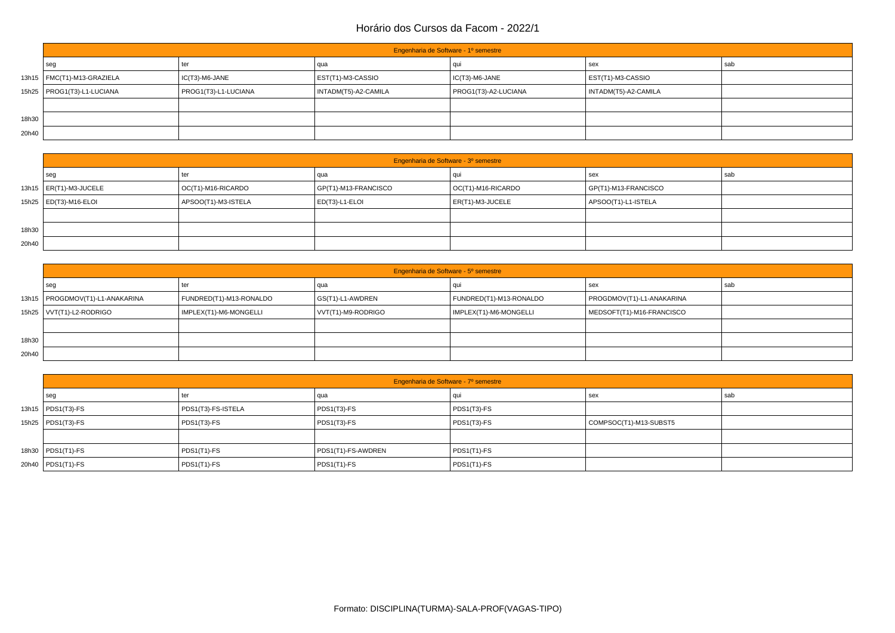|       | Engenharia de Software - 1º semestre |                      |                      |                      |                      |     |  |
|-------|--------------------------------------|----------------------|----------------------|----------------------|----------------------|-----|--|
|       | l seg                                | ter                  | qua                  | au                   | sex                  | sab |  |
|       | 13h15   FMC(T1)-M13-GRAZIELA         | IC(T3)-M6-JANE       | EST(T1)-M3-CASSIO    | IC(T3)-M6-JANE       | EST(T1)-M3-CASSIO    |     |  |
|       | 15h25   PROG1(T3)-L1-LUCIANA         | PROG1(T3)-L1-LUCIANA | INTADM(T5)-A2-CAMILA | PROG1(T3)-A2-LUCIANA | INTADM(T5)-A2-CAMILA |     |  |
|       |                                      |                      |                      |                      |                      |     |  |
| 18h30 |                                      |                      |                      |                      |                      |     |  |
| 20h40 |                                      |                      |                      |                      |                      |     |  |

|       | Engenharia de Software - 3º semestre |                            |                      |                            |                      |     |  |  |
|-------|--------------------------------------|----------------------------|----------------------|----------------------------|----------------------|-----|--|--|
|       | seg                                  | ter                        | qua                  |                            | l sex                | sab |  |  |
|       | 13h15   ER(T1)-M3-JUCELE             | $\vert$ OC(T1)-M16-RICARDO | GP(T1)-M13-FRANCISCO | $\vert$ OC(T1)-M16-RICARDO | GP(T1)-M13-FRANCISCO |     |  |  |
|       | 15h25   ED(T3)-M16-ELOI              | APSOO(T1)-M3-ISTELA        | ED(T3)-L1-ELOI       | ER(T1)-M3-JUCELE           | APSOO(T1)-L1-ISTELA  |     |  |  |
|       |                                      |                            |                      |                            |                      |     |  |  |
| 18h30 |                                      |                            |                      |                            |                      |     |  |  |
| 20h40 |                                      |                            |                      |                            |                      |     |  |  |

|       | Engenharia de Software - 5º semestre |                         |                    |                         |                           |     |  |  |
|-------|--------------------------------------|-------------------------|--------------------|-------------------------|---------------------------|-----|--|--|
|       | seg                                  | ter                     | qua                |                         | l sex                     | sab |  |  |
|       | 13h15   PROGDMOV(T1)-L1-ANAKARINA    | FUNDRED(T1)-M13-RONALDO | GS(T1)-L1-AWDREN   | FUNDRED(T1)-M13-RONALDO | PROGDMOV(T1)-L1-ANAKARINA |     |  |  |
|       | 15h25   VVT(T1)-L2-RODRIGO           | IMPLEX(T1)-M6-MONGELLI  | VVT(T1)-M9-RODRIGO | IMPLEX(T1)-M6-MONGELLI  | MEDSOFT(T1)-M16-FRANCISCO |     |  |  |
|       |                                      |                         |                    |                         |                           |     |  |  |
| 18h30 |                                      |                         |                    |                         |                           |     |  |  |
| 20h40 |                                      |                         |                    |                         |                           |     |  |  |

| Engenharia de Software - 7º semestre |                    |                    |               |                        |     |  |  |
|--------------------------------------|--------------------|--------------------|---------------|------------------------|-----|--|--|
| seg                                  | ter                | qua                |               | l sex                  | sab |  |  |
| 13h15   PDS1(T3)-FS                  | PDS1(T3)-FS-ISTELA | PDS1(T3)-FS        | $PDS1(T3)-FS$ |                        |     |  |  |
| 15h25   PDS1(T3)-FS                  | PDS1(T3)-FS        | PDS1(T3)-FS        | $PDS1(T3)-FS$ | COMPSOC(T1)-M13-SUBST5 |     |  |  |
|                                      |                    |                    |               |                        |     |  |  |
| 18h30   PDS1(T1)-FS                  | $PDS1(T1)-FS$      | PDS1(T1)-FS-AWDREN | $PDS1(T1)-FS$ |                        |     |  |  |
| 20h40   PDS1(T1)-FS                  | $PDS1(T1)-FS$      | PDS1(T1)-FS        | $PDS1(T1)-FS$ |                        |     |  |  |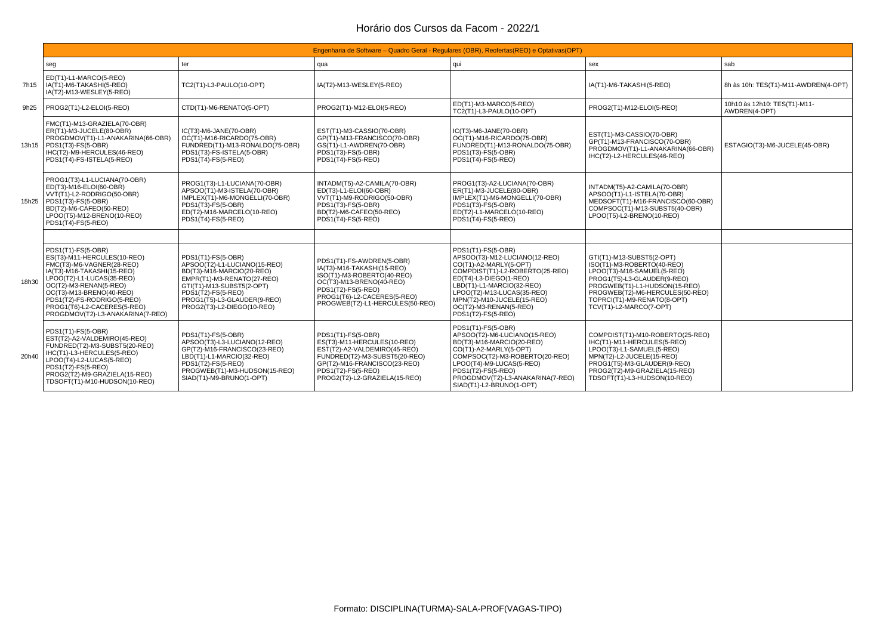|       | Engenharia de Software – Quadro Geral - Regulares (OBR), Reofertas (REO) e Optativas (OPT)                                                                                                                                                                                                       |                                                                                                                                                                                                                               |                                                                                                                                                                                                           |                                                                                                                                                                                                                                                                                     |                                                                                                                                                                                                                                                    |                                               |  |  |
|-------|--------------------------------------------------------------------------------------------------------------------------------------------------------------------------------------------------------------------------------------------------------------------------------------------------|-------------------------------------------------------------------------------------------------------------------------------------------------------------------------------------------------------------------------------|-----------------------------------------------------------------------------------------------------------------------------------------------------------------------------------------------------------|-------------------------------------------------------------------------------------------------------------------------------------------------------------------------------------------------------------------------------------------------------------------------------------|----------------------------------------------------------------------------------------------------------------------------------------------------------------------------------------------------------------------------------------------------|-----------------------------------------------|--|--|
|       | seg                                                                                                                                                                                                                                                                                              | ter                                                                                                                                                                                                                           | qua                                                                                                                                                                                                       | qui                                                                                                                                                                                                                                                                                 | sex                                                                                                                                                                                                                                                | sab                                           |  |  |
| 7h15  | ED(T1)-L1-MARCO(5-REO)<br>IA(T1)-M6-TAKASHI(5-REO)<br>IA(T2)-M13-WESLEY(5-REO)                                                                                                                                                                                                                   | TC2(T1)-L3-PAULO(10-OPT)                                                                                                                                                                                                      | IA(T2)-M13-WESLEY(5-REO)                                                                                                                                                                                  |                                                                                                                                                                                                                                                                                     | IA(T1)-M6-TAKASHI(5-REO)                                                                                                                                                                                                                           | 8h às 10h: TES(T1)-M11-AWDREN(4-OPT)          |  |  |
| 9h25  | PROG2(T1)-L2-ELOI(5-REO)                                                                                                                                                                                                                                                                         | CTD(T1)-M6-RENATO(5-OPT)                                                                                                                                                                                                      | PROG2(T1)-M12-ELOI(5-REO)                                                                                                                                                                                 | ED(T1)-M3-MARCO(5-REO)<br>TC2(T1)-L3-PAULO(10-OPT)                                                                                                                                                                                                                                  | PROG2(T1)-M12-ELOI(5-REO)                                                                                                                                                                                                                          | 10h10 às 12h10: TES(T1)-M11-<br>AWDREN(4-OPT) |  |  |
|       | FMC(T1)-M13-GRAZIELA(70-OBR)<br>ER(T1)-M3-JUCELE(80-OBR)<br>PROGDMOV(T1)-L1-ANAKARINA(66-OBR)<br>13h15   PDS1(T3)-FS(5-OBR)<br>IHC(T2)-M9-HERCULES(46-REO)<br>PDS1(T4)-FS-ISTELA(5-REO)                                                                                                          | $IC(T3)$ -M6-JANE $(70$ -OBR)<br>OC(T1)-M16-RICARDO(75-OBR)<br>FUNDRED(T1)-M13-RONALDO(75-OBR)<br>PDS1(T3)-FS-ISTELA(5-OBR)<br>PDS1(T4)-FS(5-REO)                                                                             | EST(T1)-M3-CASSIO(70-OBR)<br>GP(T1)-M13-FRANCISCO(70-OBR)<br>GS(T1)-L1-AWDREN(70-OBR)<br>PDS1(T3)-FS(5-OBR)<br>PDS1(T4)-FS(5-REO)                                                                         | IC(T3)-M6-JANE(70-OBR)<br>OC(T1)-M16-RICARDO(75-OBR)<br>FUNDRED(T1)-M13-RONALDO(75-OBR)<br>PDS1(T3)-FS(5-OBR)<br>PDS1(T4)-FS(5-REO)                                                                                                                                                 | EST(T1)-M3-CASSIO(70-OBR)<br>GP(T1)-M13-FRANCISCO(70-OBR)<br>PROGDMOV(T1)-L1-ANAKARINA(66-OBR)<br>IHC(T2)-L2-HERCULES(46-REO)                                                                                                                      | ESTAGIO(T3)-M6-JUCELE(45-OBR)                 |  |  |
|       | PROG1(T3)-L1-LUCIANA(70-OBR)<br>ED(T3)-M16-ELOI(60-OBR)<br>VVT(T1)-L2-RODRIGO(50-OBR)<br>15h25   PDS1(T3)-FS(5-OBR)<br>BD(T2)-M6-CAFEO(50-REO)<br>LPOO(T5)-M12-BRENO(10-REO)<br>PDS1(T4)-FS(5-REO)                                                                                               | PROG1(T3)-L1-LUCIANA(70-OBR)<br>APSOO(T1)-M3-ISTELA(70-OBR)<br>IMPLEX(T1)-M6-MONGELLI(70-OBR)<br>PDS1(T3)-FS(5-OBR)<br>ED(T2)-M16-MARCELO(10-REO)<br>PDS1(T4)-FS(5-REO)                                                       | INTADM(T5)-A2-CAMILA(70-OBR)<br>ED(T3)-L1-ELOI(60-OBR)<br>VVT(T1)-M9-RODRIGO(50-OBR)<br>PDS1(T3)-FS(5-OBR)<br>BD(T2)-M6-CAFEO(50-REO)<br>PDS1(T4)-FS(5-REO)                                               | PROG1(T3)-A2-LUCIANA(70-OBR)<br>ER(T1)-M3-JUCELE(80-OBR)<br>IMPLEX(T1)-M6-MONGELLI(70-OBR)<br>PDS1(T3)-FS(5-OBR)<br>ED(T2)-L1-MARCELO(10-REO)<br>PDS1(T4)-FS(5-REO)                                                                                                                 | INTADM(T5)-A2-CAMILA(70-OBR)<br>APSOO(T1)-L1-ISTELA(70-OBR)<br>MEDSOFT(T1)-M16-FRANCISCO(60-OBR)<br>COMPSOC(T1)-M13-SUBST5(40-OBR)<br>LPOO(T5)-L2-BRENO(10-REO)                                                                                    |                                               |  |  |
|       |                                                                                                                                                                                                                                                                                                  |                                                                                                                                                                                                                               |                                                                                                                                                                                                           |                                                                                                                                                                                                                                                                                     |                                                                                                                                                                                                                                                    |                                               |  |  |
| 18h30 | PDS1(T1)-FS(5-OBR)<br>ES(T3)-M11-HERCULES(10-REO)<br>FMC(T3)-M6-VAGNER(28-REO)<br>IA(T3)-M16-TAKASHI(15-REO)<br>LPOO(T2)-L1-LUCAS(35-REO)<br>OC(T2)-M3-RENAN(5-REO)<br>OC(T3)-M13-BRENO(40-REO)<br>PDS1(T2)-FS-RODRIGO(5-REO)<br>PROG1(T6)-L2-CACERES(5-REO)<br>PROGDMOV(T2)-L3-ANAKARINA(7-REO) | PDS1(T1)-FS(5-OBR)<br>APSOO(T2)-L1-LUCIANO(15-REO)<br>BD(T3)-M16-MARCIO(20-REO)<br>EMPR(T1)-M3-RENATO(27-REO)<br>GTI(T1)-M13-SUBST5(2-OPT)<br>PDS1(T2)-FS(5-REO)<br>PROG1(T5)-L3-GLAUDER(9-REO)<br>PROG2(T3)-L2-DIEGO(10-REO) | PDS1(T1)-FS-AWDREN(5-OBR)<br>IA(T3)-M16-TAKASHI(15-REO)<br>ISO(T1)-M3-ROBERTO(40-REO)<br>OC(T3)-M13-BRENO(40-REO)<br>PDS1(T2)-FS(5-REO)<br>PROG1(T6)-L2-CACERES(5-REO)<br>PROGWEB(T2)-L1-HERCULES(50-REO) | PDS1(T1)-FS(5-OBR)<br>APSOO(T3)-M12-LUCIANO(12-REO)<br>CO(T1)-A2-MARLY(5-OPT)<br>COMPDIST(T1)-L2-ROBERTO(25-REO)<br>ED(T4)-L3-DIEGO(1-REO)<br>LBD(T1)-L1-MARCIO(32-REO)<br>LPOO(T2)-M13-LUCAS(35-REO)<br>MPN(T2)-M10-JUCELE(15-REO)<br>OC(T2)-M3-RENAN(5-REO)<br>PDS1(T2)-FS(5-REO) | GTI(T1)-M13-SUBST5(2-OPT)<br>ISO(T1)-M3-ROBERTO(40-REO)<br>LPOO(T3)-M16-SAMUEL(5-REO)<br>PROG1(T5)-L3-GLAUDER(9-REO)<br>PROGWEB(T1)-L1-HUDSON(15-REO)<br>PROGWEB(T2)-M6-HERCULES(50-REO)<br>TOPRCI(T1)-M9-RENATO(8-OPT)<br>TCV(T1)-L2-MARCO(7-OPT) |                                               |  |  |
| 20h40 | PDS1(T1)-FS(5-OBR)<br>EST(T2)-A2-VALDEMIRO(45-REO)<br>FUNDRED(T2)-M3-SUBST5(20-REO)<br>IHC(T1)-L3-HERCULES(5-REO)<br>LPOO(T4)-L2-LUCAS(5-REO)<br>PDS1(T2)-FS(5-REO)<br>PROG2(T2)-M9-GRAZIELA(15-REO)<br>TDSOFT(T1)-M10-HUDSON(10-REO)                                                            | PDS1(T1)-FS(5-OBR)<br>APSOO(T3)-L3-LUCIANO(12-REO)<br>GP(T2)-M16-FRANCISCO(23-REO)<br>LBD(T1)-L1-MARCIO(32-REO)<br>PDS1(T2)-FS(5-REO)<br>PROGWEB(T1)-M3-HUDSON(15-REO)<br>SIAD(T1)-M9-BRUNO(1-OPT)                            | PDS1(T1)-FS(5-OBR)<br>ES(T3)-M11-HERCULES(10-REO)<br>EST(T2)-A2-VALDEMIRO(45-REO)<br>FUNDRED(T2)-M3-SUBST5(20-REO)<br>GP(T2)-M16-FRANCISCO(23-REO)<br>PDS1(T2)-FS(5-REO)<br>PROG2(T2)-L2-GRAZIELA(15-REO) | PDS1(T1)-FS(5-OBR)<br>APSOO(T2)-M6-LUCIANO(15-REO)<br>BD(T3)-M16-MARCIO(20-REO)<br>CO(T1)-A2-MARLY(5-OPT)<br>COMPSOC(T2)-M3-ROBERTO(20-REO)<br>LPOO(T4)-M9-LUCAS(5-REO)<br>PDS1(T2)-FS(5-REO)<br>PROGDMOV(T2)-L3-ANAKARINA(7-REO)<br>SIAD(T1)-L2-BRUNO(1-OPT)                       | COMPDIST(T1)-M10-ROBERTO(25-REO)<br>IHC(T1)-M11-HERCULES(5-REO)<br>LPOO(T3)-L1-SAMUEL(5-REO)<br>MPN(T2)-L2-JUCELE(15-REO)<br>PROG1(T5)-M3-GLAUDER(9-REO)<br>PROG2(T2)-M9-GRAZIELA(15-REO)<br>TDSOFT(T1)-L3-HUDSON(10-REO)                          |                                               |  |  |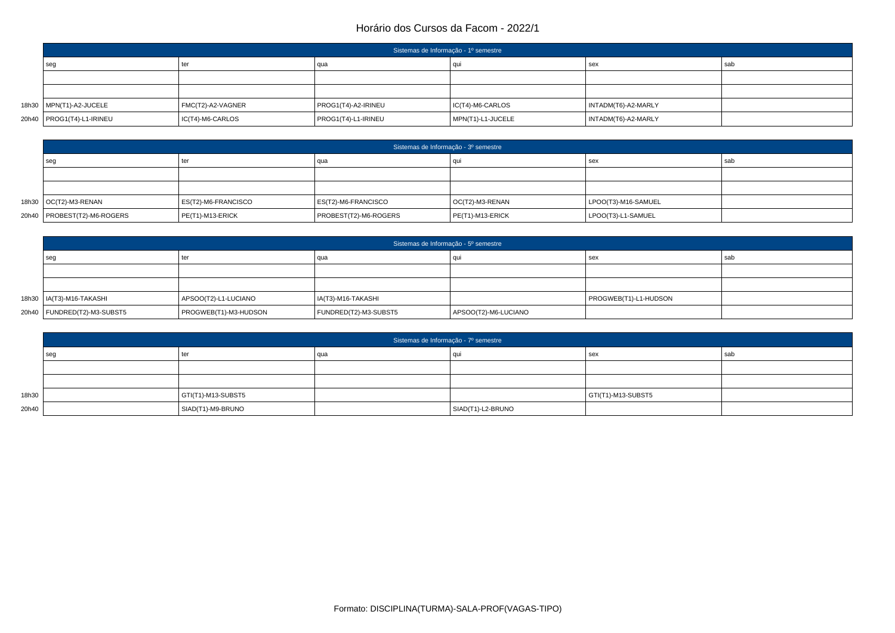| Sistemas de Informação - 1º semestre |                   |                     |                   |                     |     |  |  |
|--------------------------------------|-------------------|---------------------|-------------------|---------------------|-----|--|--|
| seg                                  | ter               | qua                 | ' aui             | sex                 | sab |  |  |
|                                      |                   |                     |                   |                     |     |  |  |
|                                      |                   |                     |                   |                     |     |  |  |
| 18h30   MPN(T1)-A2-JUCELE            | FMC(T2)-A2-VAGNER | PROG1(T4)-A2-IRINEU | IC(T4)-M6-CARLOS  | INTADM(T6)-A2-MARLY |     |  |  |
| 20h40   PROG1(T4)-L1-IRINEU          | IC(T4)-M6-CARLOS  | PROG1(T4)-L1-IRINEU | MPN(T1)-L1-JUCELE | INTADM(T6)-A2-MARLY |     |  |  |

| Sistemas de Informação - 3º semestre |                     |                       |                  |                     |     |  |  |
|--------------------------------------|---------------------|-----------------------|------------------|---------------------|-----|--|--|
| seg                                  |                     | qua                   | <b>CILI</b>      | sex                 | sab |  |  |
|                                      |                     |                       |                  |                     |     |  |  |
|                                      |                     |                       |                  |                     |     |  |  |
| 18h30   OC(T2)-M3-RENAN              | ES(T2)-M6-FRANCISCO | ES(T2)-M6-FRANCISCO   | OC(T2)-M3-RENAN  | LPOO(T3)-M16-SAMUEL |     |  |  |
| 20h40   PROBEST(T2)-M6-ROGERS        | $PE(T1)-M13-ERICK$  | PROBEST(T2)-M6-ROGERS | PE(T1)-M13-ERICK | LPOO(T3)-L1-SAMUEL  |     |  |  |

| Sistemas de Informação - 5º semestre |                       |                       |                      |                       |     |  |  |
|--------------------------------------|-----------------------|-----------------------|----------------------|-----------------------|-----|--|--|
| seg                                  | ter                   | qua                   |                      | sex                   | sab |  |  |
|                                      |                       |                       |                      |                       |     |  |  |
|                                      |                       |                       |                      |                       |     |  |  |
| 18h30   IA(T3)-M16-TAKASHI           | APSOO(T2)-L1-LUCIANO  | IA(T3)-M16-TAKASHI    |                      | PROGWEB(T1)-L1-HUDSON |     |  |  |
| 20h40   FUNDRED(T2)-M3-SUBST5        | PROGWEB(T1)-M3-HUDSON | FUNDRED(T2)-M3-SUBST5 | APSOO(T2)-M6-LUCIANO |                       |     |  |  |

|       | Sistemas de Informação - 7º semestre |                            |     |                   |                    |     |  |  |
|-------|--------------------------------------|----------------------------|-----|-------------------|--------------------|-----|--|--|
|       | sec                                  | ter                        | qua |                   | sex                | sab |  |  |
|       |                                      |                            |     |                   |                    |     |  |  |
|       |                                      |                            |     |                   |                    |     |  |  |
| 18h30 |                                      | $\vert$ GTI(T1)-M13-SUBST5 |     |                   | GTI(T1)-M13-SUBST5 |     |  |  |
| 20h40 |                                      | SIAD(T1)-M9-BRUNO          |     | SIAD(T1)-L2-BRUNO |                    |     |  |  |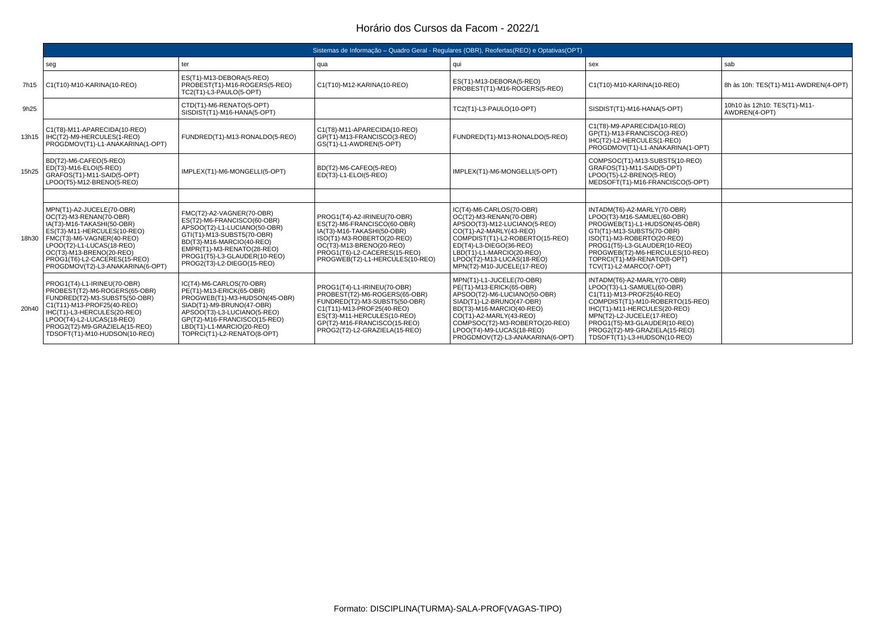|       | Sistemas de Informação – Quadro Geral - Regulares (OBR), Reofertas (REO) e Optativas (OPT)                                                                                                                                                                                          |                                                                                                                                                                                                                                                 |                                                                                                                                                                                                                             |                                                                                                                                                                                                                                                                               |                                                                                                                                                                                                                                                                                           |                                               |  |  |
|-------|-------------------------------------------------------------------------------------------------------------------------------------------------------------------------------------------------------------------------------------------------------------------------------------|-------------------------------------------------------------------------------------------------------------------------------------------------------------------------------------------------------------------------------------------------|-----------------------------------------------------------------------------------------------------------------------------------------------------------------------------------------------------------------------------|-------------------------------------------------------------------------------------------------------------------------------------------------------------------------------------------------------------------------------------------------------------------------------|-------------------------------------------------------------------------------------------------------------------------------------------------------------------------------------------------------------------------------------------------------------------------------------------|-----------------------------------------------|--|--|
|       | seg                                                                                                                                                                                                                                                                                 | ter                                                                                                                                                                                                                                             | qua                                                                                                                                                                                                                         | qui                                                                                                                                                                                                                                                                           | sex                                                                                                                                                                                                                                                                                       | sab                                           |  |  |
| 7h15  | C1(T10)-M10-KARINA(10-REO)                                                                                                                                                                                                                                                          | ES(T1)-M13-DEBORA(5-REO)<br>PROBEST(T1)-M16-ROGERS(5-REO)<br>TC2(T1)-L3-PAULO(5-OPT)                                                                                                                                                            | C1(T10)-M12-KARINA(10-REO)                                                                                                                                                                                                  | ES(T1)-M13-DEBORA(5-REO)<br>PROBEST(T1)-M16-ROGERS(5-REO)                                                                                                                                                                                                                     | C1(T10)-M10-KARINA(10-REO)                                                                                                                                                                                                                                                                | 8h às 10h: TES(T1)-M11-AWDREN(4-OPT)          |  |  |
| 9h25  |                                                                                                                                                                                                                                                                                     | CTD(T1)-M6-RENATO(5-OPT)<br>SISDIST(T1)-M16-HANA(5-OPT)                                                                                                                                                                                         |                                                                                                                                                                                                                             | TC2(T1)-L3-PAULO(10-OPT)                                                                                                                                                                                                                                                      | SISDIST(T1)-M16-HANA(5-OPT)                                                                                                                                                                                                                                                               | 10h10 às 12h10: TES(T1)-M11-<br>AWDREN(4-OPT) |  |  |
|       | C1(T8)-M11-APARECIDA(10-REO)<br>13h15   IHC(T2)-M9-HERCULES(1-REO)<br>PROGDMOV(T1)-L1-ANAKARINA(1-OPT)                                                                                                                                                                              | FUNDRED(T1)-M13-RONALDO(5-REO)                                                                                                                                                                                                                  | C1(T8)-M11-APARECIDA(10-REO)<br>GP(T1)-M13-FRANCISCO(3-REO)<br>GS(T1)-L1-AWDREN(5-OPT)                                                                                                                                      | FUNDRED(T1)-M13-RONALDO(5-REO)                                                                                                                                                                                                                                                | C1(T8)-M9-APARECIDA(10-REO)<br>GP(T1)-M13-FRANCISCO(3-REO)<br>IHC(T2)-L2-HERCULES(1-REO)<br>PROGDMOV(T1)-L1-ANAKARINA(1-OPT)                                                                                                                                                              |                                               |  |  |
| 15h25 | BD(T2)-M6-CAFEO(5-REO)<br>ED(T3)-M16-ELOI(5-REO)<br>GRAFOS(T1)-M11-SAID(5-OPT)<br>LPOO(T5)-M12-BRENO(5-REO)                                                                                                                                                                         | IMPLEX(T1)-M6-MONGELLI(5-OPT)                                                                                                                                                                                                                   | BD(T2)-M6-CAFEO(5-REO)<br>ED(T3)-L1-ELOI(5-REO)                                                                                                                                                                             | IMPLEX(T1)-M6-MONGELLI(5-OPT)                                                                                                                                                                                                                                                 | COMPSOC(T1)-M13-SUBST5(10-REO)<br>GRAFOS(T1)-M11-SAID(5-OPT)<br>LPOO(T5)-L2-BRENO(5-REO)<br>MEDSOFT(T1)-M16-FRANCISCO(5-OPT)                                                                                                                                                              |                                               |  |  |
|       |                                                                                                                                                                                                                                                                                     |                                                                                                                                                                                                                                                 |                                                                                                                                                                                                                             |                                                                                                                                                                                                                                                                               |                                                                                                                                                                                                                                                                                           |                                               |  |  |
|       | MPN(T1)-A2-JUCELE(70-OBR)<br>OC(T2)-M3-RENAN(70-OBR)<br>IA(T3)-M16-TAKASHI(50-OBR)<br>ES(T3)-M11-HERCULES(10-REO)<br>18h30   FMC(T3)-M6-VAGNER(40-REO)<br>LPOO(T2)-L1-LUCAS(18-REO)<br>OC(T3)-M13-BRENO(20-REO)<br>PROG1(T6)-L2-CACERES(15-REO)<br>PROGDMOV(T2)-L3-ANAKARINA(6-OPT) | FMC(T2)-A2-VAGNER(70-OBR)<br>ES(T2)-M6-FRANCISCO(60-OBR)<br>APSOO(T2)-L1-LUCIANO(50-OBR)<br>GTI(T1)-M13-SUBST5(70-OBR)<br>BD(T3)-M16-MARCIO(40-REO)<br>EMPR(T1)-M3-RENATO(28-REO)<br>PROG1(T5)-L3-GLAUDER(10-REO)<br>PROG2(T3)-L2-DIEGO(15-REO) | PROG1(T4)-A2-IRINEU(70-OBR)<br>ES(T2)-M6-FRANCISCO(60-OBR)<br>IA(T3)-M16-TAKASHI(50-OBR)<br>ISO(T1)-M3-ROBERTO(20-REO)<br>OC(T3)-M13-BRENO(20-REO)<br>PROG1(T6)-L2-CACERES(15-REO)<br>PROGWEB(T2)-L1-HERCULES(10-REO)       | IC(T4)-M6-CARLOS(70-OBR)<br>OC(T2)-M3-RENAN(70-OBR)<br>APSOO(T3)-M12-LUCIANO(5-REO)<br>CO(T1)-A2-MARLY(43-REO)<br>COMPDIST(T1)-L2-ROBERTO(15-REO)<br>ED(T4)-L3-DIEGO(36-REO)<br>LBD(T1)-L1-MARCIO(20-REO)<br>LPOO(T2)-M13-LUCAS(18-REO)<br>MPN(T2)-M10-JUCELE(17-REO)         | INTADM(T6)-A2-MARLY(70-OBR)<br>LPOO(T3)-M16-SAMUEL(60-OBR)<br>PROGWEB(T1)-L1-HUDSON(45-OBR)<br>GTI(T1)-M13-SUBST5(70-OBR)<br>ISO(T1)-M3-ROBERTO(20-REO)<br>PROG1(T5)-L3-GLAUDER(10-REO)<br>PROGWEB(T2)-M6-HERCULES(10-REO)<br>TOPRCI(T1)-M9-RENATO(8-OPT)<br>TCV(T1)-L2-MARCO(7-OPT)      |                                               |  |  |
| 20h40 | PROG1(T4)-L1-IRINEU(70-OBR)<br>PROBEST(T2)-M6-ROGERS(65-OBR)<br>FUNDRED(T2)-M3-SUBST5(50-OBR)<br>C1(T11)-M13-PROF25(40-REO)<br>IHC(T1)-L3-HERCULES(20-REO)<br>LPOO(T4)-L2-LUCAS(18-REO)<br>PROG2(T2)-M9-GRAZIELA(15-REO)<br>TDSOFT(T1)-M10-HUDSON(10-REO)                           | IC(T4)-M6-CARLOS(70-OBR)<br>PE(T1)-M13-ERICK(65-OBR)<br>PROGWEB(T1)-M3-HUDSON(45-OBR)<br>SIAD(T1)-M9-BRUNO(47-OBR)<br>APSOO(T3)-L3-LUCIANO(5-REO)<br>GP(T2)-M16-FRANCISCO(15-REO)<br>LBD(T1)-L1-MARCIO(20-REO)<br>TOPRCI(T1)-L2-RENATO(8-OPT)   | PROG1(T4)-L1-IRINEU(70-OBR)<br>PROBEST(T2)-M6-ROGERS(65-OBR)<br>FUNDRED(T2)-M3-SUBST5(50-OBR)<br>C1(T11)-M13-PROF25(40-REO)<br>ES(T3)-M11-HERCULES(10-REO)<br>GP(T2)-M16-FRANCISCO(15-REO)<br>PROG2(T2)-L2-GRAZIELA(15-REO) | MPN(T1)-L1-JUCELE(70-OBR)<br>PE(T1)-M13-ERICK(65-OBR)<br>APSOO(T2)-M6-LUCIANO(50-OBR)<br>SIAD(T1)-L2-BRUNO(47-OBR)<br>BD(T3)-M16-MARCIO(40-REO)<br>CO(T1)-A2-MARLY(43-REO)<br>COMPSOC(T2)-M3-ROBERTO(20-REO)<br>LPOO(T4)-M9-LUCAS(18-REO)<br>PROGDMOV(T2)-L3-ANAKARINA(6-OPT) | INTADM(T6)-A2-MARLY(70-OBR)<br>LPOO(T3)-L1-SAMUEL(60-OBR)<br>C1(T11)-M13-PROF25(40-REO)<br>COMPDIST(T1)-M10-ROBERTO(15-REO)<br>IHC(T1)-M11-HERCULES(20-REO)<br>MPN(T2)-L2-JUCELE(17-REO)<br>PROG1(T5)-M3-GLAUDER(10-REO)<br>PROG2(T2)-M9-GRAZIELA(15-REO)<br>TDSOFT(T1)-L3-HUDSON(10-REO) |                                               |  |  |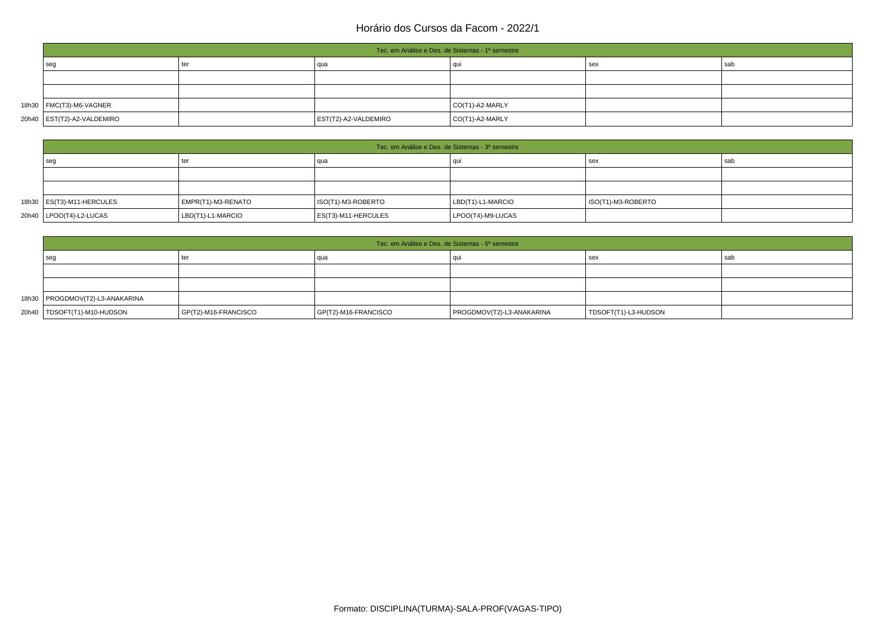|                              | Tec. em Análise e Des. de Sistemas - 1º semestre |                      |                 |     |     |  |  |  |
|------------------------------|--------------------------------------------------|----------------------|-----------------|-----|-----|--|--|--|
| seg                          | ter                                              | qua                  | au              | sex | sab |  |  |  |
|                              |                                                  |                      |                 |     |     |  |  |  |
|                              |                                                  |                      |                 |     |     |  |  |  |
| 18h30   FMC(T3)-M6-VAGNER    |                                                  |                      | CO(T1)-A2-MARLY |     |     |  |  |  |
| 20h40   EST(T2)-A2-VALDEMIRO |                                                  | EST(T2)-A2-VALDEMIRO | CO(T1)-A2-MARLY |     |     |  |  |  |

| Tec. em Análise e Des. de Sistemas - 3º semestre |                    |                     |                   |                    |     |  |  |
|--------------------------------------------------|--------------------|---------------------|-------------------|--------------------|-----|--|--|
| sec                                              | ter                | qua                 |                   | sex                | sab |  |  |
|                                                  |                    |                     |                   |                    |     |  |  |
|                                                  |                    |                     |                   |                    |     |  |  |
| 18h30   ES(T3)-M11-HERCULES                      | EMPR(T1)-M3-RENATO | ISO(T1)-M3-ROBERTO  | LBD(T1)-L1-MARCIO | ISO(T1)-M3-ROBERTO |     |  |  |
| 20h40   LPOO(T4)-L2-LUCAS                        | LBD(T1)-L1-MARCIO  | ES(T3)-M11-HERCULES | LPOO(T4)-M9-LUCAS |                    |     |  |  |

| Tec. em Análise e Des. de Sistemas - 5º semestre |                              |                      |                           |                      |     |  |  |
|--------------------------------------------------|------------------------------|----------------------|---------------------------|----------------------|-----|--|--|
| seq                                              | ter                          | qua                  |                           | sex                  | sab |  |  |
|                                                  |                              |                      |                           |                      |     |  |  |
|                                                  |                              |                      |                           |                      |     |  |  |
| 18h30   PROGDMOV(T2)-L3-ANAKARINA                |                              |                      |                           |                      |     |  |  |
| 20h40   TDSOFT(T1)-M10-HUDSON                    | $\vert$ GP(T2)-M16-FRANCISCO | GP(T2)-M16-FRANCISCO | PROGDMOV(T2)-L3-ANAKARINA | TDSOFT(T1)-L3-HUDSON |     |  |  |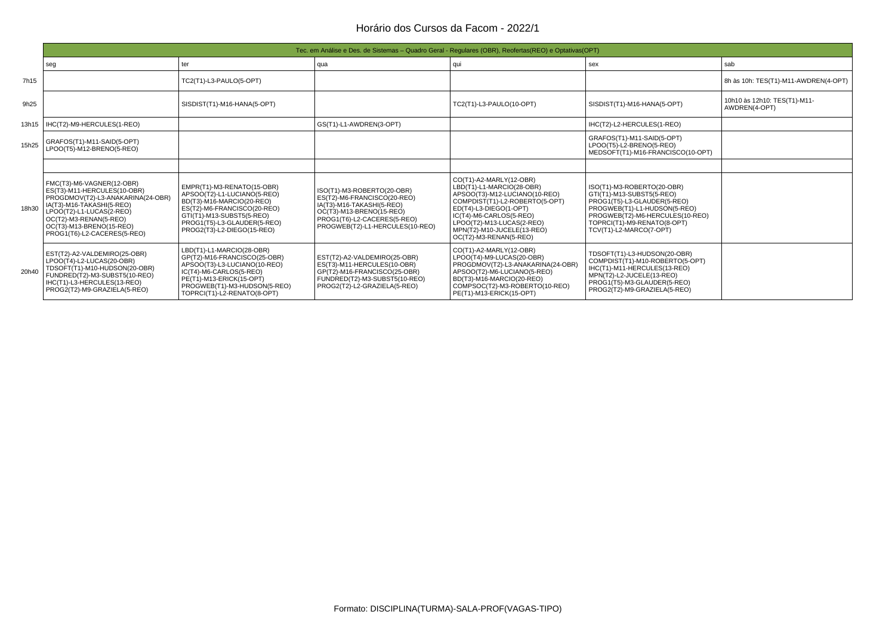|       | Tec. em Análise e Des. de Sistemas – Quadro Geral - Regulares (OBR), Reofertas (REO) e Optativas (OPT)                                                                                                                                     |                                                                                                                                                                                                                 |                                                                                                                                                                                      |                                                                                                                                                                                                                                                                   |                                                                                                                                                                                                                     |                                               |  |  |
|-------|--------------------------------------------------------------------------------------------------------------------------------------------------------------------------------------------------------------------------------------------|-----------------------------------------------------------------------------------------------------------------------------------------------------------------------------------------------------------------|--------------------------------------------------------------------------------------------------------------------------------------------------------------------------------------|-------------------------------------------------------------------------------------------------------------------------------------------------------------------------------------------------------------------------------------------------------------------|---------------------------------------------------------------------------------------------------------------------------------------------------------------------------------------------------------------------|-----------------------------------------------|--|--|
|       | seg                                                                                                                                                                                                                                        | ter                                                                                                                                                                                                             | qua                                                                                                                                                                                  | qui                                                                                                                                                                                                                                                               | sex                                                                                                                                                                                                                 | sab                                           |  |  |
| 7h15  |                                                                                                                                                                                                                                            | TC2(T1)-L3-PAULO(5-OPT)                                                                                                                                                                                         |                                                                                                                                                                                      |                                                                                                                                                                                                                                                                   |                                                                                                                                                                                                                     | 8h às 10h: TES(T1)-M11-AWDREN(4-OPT)          |  |  |
| 9h25  |                                                                                                                                                                                                                                            | SISDIST(T1)-M16-HANA(5-OPT)                                                                                                                                                                                     |                                                                                                                                                                                      | TC2(T1)-L3-PAULO(10-OPT)                                                                                                                                                                                                                                          | SISDIST(T1)-M16-HANA(5-OPT)                                                                                                                                                                                         | 10h10 às 12h10: TES(T1)-M11-<br>AWDREN(4-OPT) |  |  |
|       | 13h15   IHC(T2)-M9-HERCULES(1-REO)                                                                                                                                                                                                         |                                                                                                                                                                                                                 | GS(T1)-L1-AWDREN(3-OPT)                                                                                                                                                              |                                                                                                                                                                                                                                                                   | IHC(T2)-L2-HERCULES(1-REO)                                                                                                                                                                                          |                                               |  |  |
| 15h25 | GRAFOS(T1)-M11-SAID(5-OPT)<br>LPOO(T5)-M12-BRENO(5-REO)                                                                                                                                                                                    |                                                                                                                                                                                                                 |                                                                                                                                                                                      |                                                                                                                                                                                                                                                                   | GRAFOS(T1)-M11-SAID(5-OPT)<br>LPOO(T5)-L2-BRENO(5-REO)<br>MEDSOFT(T1)-M16-FRANCISCO(10-OPT)                                                                                                                         |                                               |  |  |
|       |                                                                                                                                                                                                                                            |                                                                                                                                                                                                                 |                                                                                                                                                                                      |                                                                                                                                                                                                                                                                   |                                                                                                                                                                                                                     |                                               |  |  |
| 18h30 | FMC(T3)-M6-VAGNER(12-OBR)<br>ES(T3)-M11-HERCULES(10-OBR)<br>PROGDMOV(T2)-L3-ANAKARINA(24-OBR<br>IA(T3)-M16-TAKASHI(5-REO)<br>LPOO(T2)-L1-LUCAS(2-REO)<br>OC(T2)-M3-RENAN(5-REO)<br>OC(T3)-M13-BRENO(15-REO)<br>PROG1(T6)-L2-CACERES(5-REO) | EMPR(T1)-M3-RENATO(15-OBR)<br>APSOO(T2)-L1-LUCIANO(5-REO)<br>BD(T3)-M16-MARCIO(20-REO)<br>ES(T2)-M6-FRANCISCO(20-REO)<br>GTI(T1)-M13-SUBST5(5-REO)<br>PROG1(T5)-L3-GLAUDER(5-REO)<br>PROG2(T3)-L2-DIEGO(15-REO) | ISO(T1)-M3-ROBERTO(20-OBR)<br>ES(T2)-M6-FRANCISCO(20-REO)<br>IA(T3)-M16-TAKASHI(5-REO)<br>OC(T3)-M13-BRENO(15-REO)<br>PROG1(T6)-L2-CACERES(5-REO)<br>PROGWEB(T2)-L1-HERCULES(10-REO) | CO(T1)-A2-MARLY(12-OBR)<br>LBD(T1)-L1-MARCIO(28-OBR)<br>APSOO(T3)-M12-LUCIANO(10-REO)<br>COMPDIST(T1)-L2-ROBERTO(5-OPT)<br>ED(T4)-L3-DIEGO(1-OPT)<br>IC(T4)-M6-CARLOS(5-REO)<br>LPOO(T2)-M13-LUCAS(2-REO)<br>MPN(T2)-M10-JUCELE(13-REO)<br>OC(T2)-M3-RENAN(5-REO) | ISO(T1)-M3-ROBERTO(20-OBR)<br>GTI(T1)-M13-SUBST5(5-REO)<br>PROG1(T5)-L3-GLAUDER(5-REO)<br>PROGWEB(T1)-L1-HUDSON(5-REO)<br>PROGWEB(T2)-M6-HERCULES(10-REO)<br>TOPRCI(T1)-M9-RENATO(8-OPT)<br>TCV(T1)-L2-MARCO(7-OPT) |                                               |  |  |
| 20h40 | EST(T2)-A2-VALDEMIRO(25-OBR)<br>LPOO(T4)-L2-LUCAS(20-OBR)<br>TDSOFT(T1)-M10-HUDSON(20-OBR)<br>FUNDRED(T2)-M3-SUBST5(10-REO)<br>IHC(T1)-L3-HERCULES(13-REO)<br>PROG2(T2)-M9-GRAZIELA(5-REO)                                                 | LBD(T1)-L1-MARCIO(28-OBR)<br>GP(T2)-M16-FRANCISCO(25-OBR)<br>APSOO(T3)-L3-LUCIANO(10-REO)<br>IC(T4)-M6-CARLOS(5-REO)<br>PE(T1)-M13-ERICK(15-OPT)<br>PROGWEB(T1)-M3-HUDSON(5-REO)<br>TOPRCI(T1)-L2-RENATO(8-OPT) | EST(T2)-A2-VALDEMIRO(25-OBR)<br>ES(T3)-M11-HERCULES(10-OBR)<br>GP(T2)-M16-FRANCISCO(25-OBR)<br>FUNDRED(T2)-M3-SUBST5(10-REO)<br>PROG2(T2)-L2-GRAZIELA(5-REO)                         | CO(T1)-A2-MARLY(12-OBR)<br>LPOO(T4)-M9-LUCAS(20-OBR)<br>PROGDMOV(T2)-L3-ANAKARINA(24-OBR)<br>APSOO(T2)-M6-LUCIANO(5-REO)<br>BD(T3)-M16-MARCIO(20-REO)<br>COMPSOC(T2)-M3-ROBERTO(10-REO)<br>PE(T1)-M13-ERICK(15-OPT)                                               | TDSOFT(T1)-L3-HUDSON(20-OBR)<br>COMPDIST(T1)-M10-ROBERTO(5-OPT)<br>IHC(T1)-M11-HERCULES(13-REO)<br>MPN(T2)-L2-JUCELE(13-REO)<br>PROG1(T5)-M3-GLAUDER(5-REO)<br>PROG2(T2)-M9-GRAZIELA(5-REO)                         |                                               |  |  |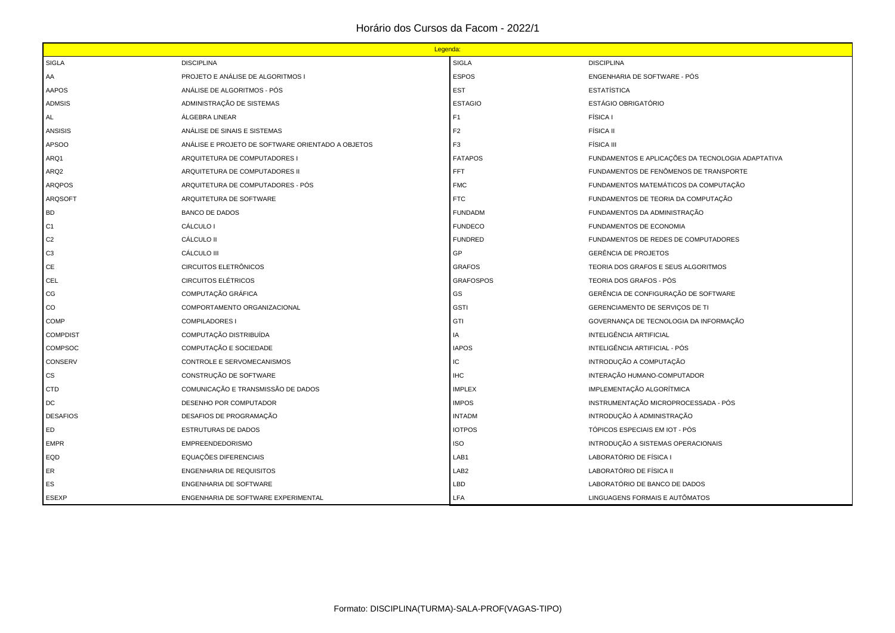|                  | Legenda:                                          |                  |                                                   |  |  |
|------------------|---------------------------------------------------|------------------|---------------------------------------------------|--|--|
| <b>SIGLA</b>     | <b>DISCIPLINA</b>                                 | <b>SIGLA</b>     | <b>DISCIPLINA</b>                                 |  |  |
| AA               | PROJETO E ANÁLISE DE ALGORITMOS I                 | <b>ESPOS</b>     | ENGENHARIA DE SOFTWARE - PÓS                      |  |  |
| <b>AAPOS</b>     | ANÁLISE DE ALGORITMOS - PÓS                       | <b>EST</b>       | <b>ESTATÍSTICA</b>                                |  |  |
| <b>ADMSIS</b>    | ADMINISTRAÇÃO DE SISTEMAS                         | <b>ESTAGIO</b>   | ESTÁGIO OBRIGATÓRIO                               |  |  |
| AL               | ÁLGEBRA LINEAR                                    | F <sub>1</sub>   | FÍSICA I                                          |  |  |
| <b>ANSISIS</b>   | ANÁLISE DE SINAIS E SISTEMAS                      | F <sub>2</sub>   | <b>FÍSICA II</b>                                  |  |  |
| APSOO            | ANÁLISE E PROJETO DE SOFTWARE ORIENTADO A OBJETOS | F <sub>3</sub>   | <b>FÍSICA III</b>                                 |  |  |
| ARQ1             | ARQUITETURA DE COMPUTADORES I                     | <b>FATAPOS</b>   | FUNDAMENTOS E APLICAÇÕES DA TECNOLOGIA ADAPTATIVA |  |  |
| ARQ <sub>2</sub> | ARQUITETURA DE COMPUTADORES II                    | FFT              | FUNDAMENTOS DE FENÔMENOS DE TRANSPORTE            |  |  |
| <b>ARQPOS</b>    | ARQUITETURA DE COMPUTADORES - PÓS                 | <b>FMC</b>       | FUNDAMENTOS MATEMÁTICOS DA COMPUTAÇÃO             |  |  |
| <b>ARQSOFT</b>   | ARQUITETURA DE SOFTWARE                           | <b>FTC</b>       | FUNDAMENTOS DE TEORIA DA COMPUTAÇÃO               |  |  |
| <b>BD</b>        | <b>BANCO DE DADOS</b>                             | <b>FUNDADM</b>   | FUNDAMENTOS DA ADMINISTRAÇÃO                      |  |  |
| C1               | CÁLCULO I                                         | <b>FUNDECO</b>   | <b>FUNDAMENTOS DE ECONOMIA</b>                    |  |  |
| C <sub>2</sub>   | CÁLCULO II                                        | <b>FUNDRED</b>   | FUNDAMENTOS DE REDES DE COMPUTADORES              |  |  |
| C <sub>3</sub>   | CÁLCULO III                                       | GP               | <b>GERÊNCIA DE PROJETOS</b>                       |  |  |
| CE               | CIRCUITOS ELETRÔNICOS                             | <b>GRAFOS</b>    | TEORIA DOS GRAFOS E SEUS ALGORITMOS               |  |  |
| CEL              | <b>CIRCUITOS ELÉTRICOS</b>                        | <b>GRAFOSPOS</b> | TEORIA DOS GRAFOS - PÓS                           |  |  |
| CG               | COMPUTAÇÃO GRÁFICA                                | GS               | GERÊNCIA DE CONFIGURAÇÃO DE SOFTWARE              |  |  |
| $_{\rm CO}$      | COMPORTAMENTO ORGANIZACIONAL                      | <b>GSTI</b>      | GERENCIAMENTO DE SERVIÇOS DE TI                   |  |  |
| <b>COMP</b>      | <b>COMPILADORES I</b>                             | GTI              | GOVERNANÇA DE TECNOLOGIA DA INFORMAÇÃO            |  |  |
| <b>COMPDIST</b>  | COMPUTAÇÃO DISTRIBUÍDA                            | IA               | INTELIGÊNCIA ARTIFICIAL                           |  |  |
| <b>COMPSOC</b>   | COMPUTAÇÃO E SOCIEDADE                            | <b>IAPOS</b>     | INTELIGÊNCIA ARTIFICIAL - PÓS                     |  |  |
| <b>CONSERV</b>   | CONTROLE E SERVOMECANISMOS                        | IС               | INTRODUÇÃO A COMPUTAÇÃO                           |  |  |
| CS               | CONSTRUÇÃO DE SOFTWARE                            | IHC              | INTERAÇÃO HUMANO-COMPUTADOR                       |  |  |
| <b>CTD</b>       | COMUNICAÇÃO E TRANSMISSÃO DE DADOS                | <b>IMPLEX</b>    | IMPLEMENTAÇÃO ALGORÍTMICA                         |  |  |
| DC               | DESENHO POR COMPUTADOR                            | <b>IMPOS</b>     | INSTRUMENTAÇÃO MICROPROCESSADA - PÓS              |  |  |
| <b>DESAFIOS</b>  | DESAFIOS DE PROGRAMAÇÃO                           | <b>INTADM</b>    | INTRODUÇÃO À ADMINISTRAÇÃO                        |  |  |
| ED               | ESTRUTURAS DE DADOS                               | <b>IOTPOS</b>    | TÓPICOS ESPECIAIS EM IOT - PÓS                    |  |  |
| <b>EMPR</b>      | <b>EMPREENDEDORISMO</b>                           | <b>ISO</b>       | INTRODUÇÃO A SISTEMAS OPERACIONAIS                |  |  |
| EQD              | EQUAÇÕES DIFERENCIAIS                             | LAB1             | LABORATÓRIO DE FÍSICA I                           |  |  |
| ER               | ENGENHARIA DE REQUISITOS                          | LAB <sub>2</sub> | LABORATÓRIO DE FÍSICA II                          |  |  |
| ES               | ENGENHARIA DE SOFTWARE                            | LBD              | LABORATÓRIO DE BANCO DE DADOS                     |  |  |
| <b>ESEXP</b>     | ENGENHARIA DE SOFTWARE EXPERIMENTAL               | LFA              | LINGUAGENS FORMAIS E AUTÔMATOS                    |  |  |